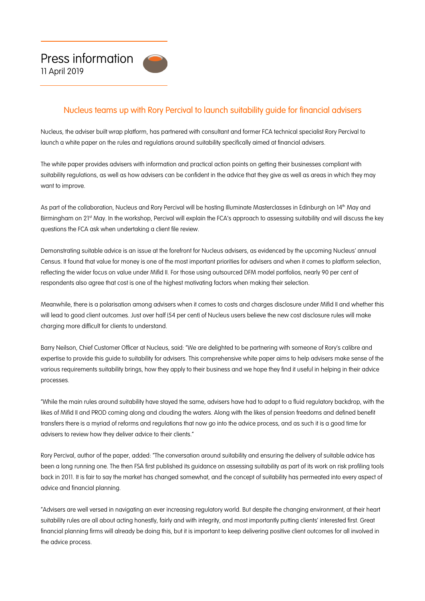

## Nucleus teams up with Rory Percival to launch suitability guide for financial advisers

Nucleus, the adviser built wrap platform, has partnered with consultant and former FCA technical specialist Rory Percival to launch a white paper on the rules and regulations around suitability specifically aimed at financial advisers.

The white paper provides advisers with information and practical action points on getting their businesses compliant with suitability regulations, as well as how advisers can be confident in the advice that they give as well as areas in which they may want to improve.

As part of the collaboration, Nucleus and Rory Percival will be hosting Illuminate Masterclasses in Edinburgh on 14th May and Birmingham on 2<sup>1st</sup> May. In the workshop, Percival will explain the FCA's approach to assessing suitability and will discuss the key questions the FCA ask when undertaking a client file review.

Demonstrating suitable advice is an issue at the forefront for Nucleus advisers, as evidenced by the upcoming Nucleus' annual Census. It found that value for money is one of the most important priorities for advisers and when it comes to platform selection, reflecting the wider focus on value under Mifid II. For those using outsourced DFM model portfolios, nearly 90 per cent of respondents also agree that cost is one of the highest motivating factors when making their selection.

Meanwhile, there is a polarisation among advisers when it comes to costs and charges disclosure under Mifid II and whether this will lead to good client outcomes. Just over half (54 per cent) of Nucleus users believe the new cost disclosure rules will make charging more difficult for clients to understand.

Barry Neilson, Chief Customer Officer at Nucleus, said: "We are delighted to be partnering with someone of Rory's calibre and expertise to provide this guide to suitability for advisers. This comprehensive white paper aims to help advisers make sense of the various requirements suitability brings, how they apply to their business and we hope they find it useful in helping in their advice processes.

"While the main rules around suitability have stayed the same, advisers have had to adapt to a fluid regulatory backdrop, with the likes of Mifid II and PROD coming along and clouding the waters. Along with the likes of pension freedoms and defined benefit transfers there is a myriad of reforms and regulations that now go into the advice process, and as such it is a good time for advisers to review how they deliver advice to their clients."

Rory Percival, author of the paper, added: "The conversation around suitability and ensuring the delivery of suitable advice has been a long running one. The then FSA first published its guidance on assessing suitability as part of its work on risk profiling tools back in 2011. It is fair to say the market has changed somewhat, and the concept of suitability has permeated into every aspect of advice and financial planning.

"Advisers are well versed in navigating an ever increasing regulatory world. But despite the changing environment, at their heart suitability rules are all about acting honestly, fairly and with integrity, and most importantly putting clients' interested first. Great financial planning firms will already be doing this, but it is important to keep delivering positive client outcomes for all involved in the advice process.